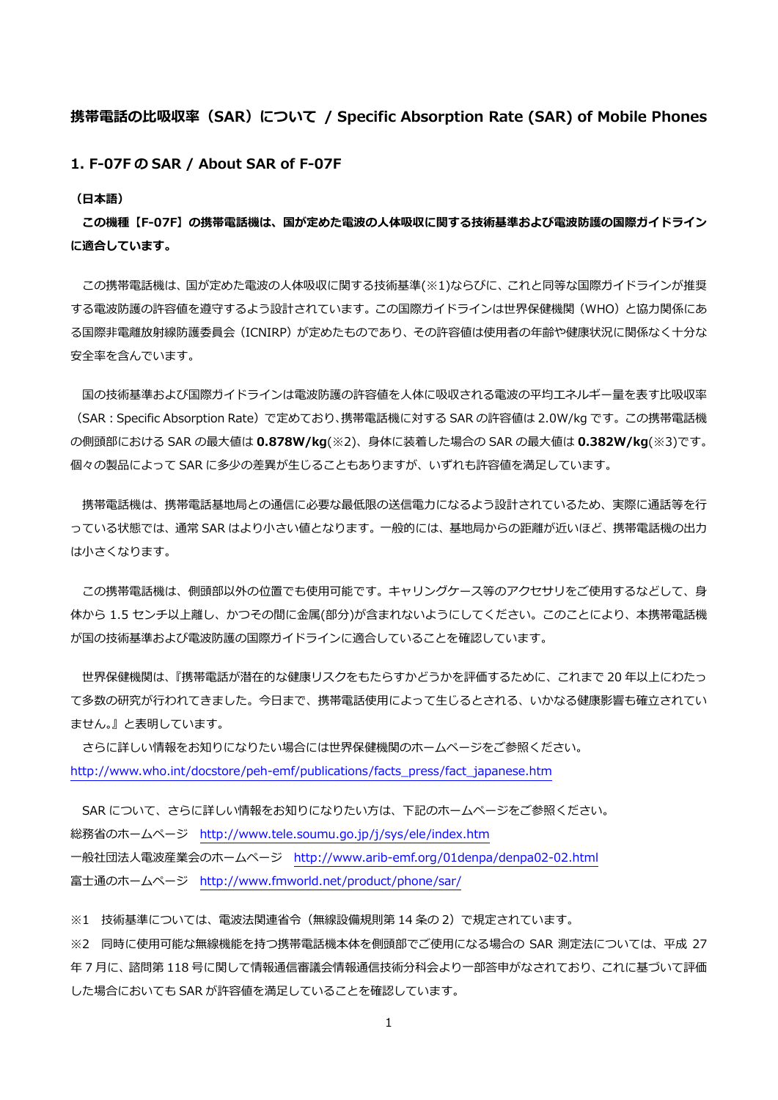## **携帯電話の⽐吸収率(SAR)について / Specific Absorption Rate (SAR) of Mobile Phones**

**1. F-07F の SAR / About SAR of F-07F** 

**(⽇本語)** 

**この機種【F-07F】の携帯電話機は、国が定めた電波の⼈体吸収に関する技術基準および電波防護の国際ガイドライン に適合しています。** 

この携帯電話機は、国が定めた電波の人体吸収に関する技術基準(※1)ならびに、これと同等な国際ガイドラインが推奨 する電波防護の許容値を遵守するよう設計されています。この国際ガイドラインは世界保健機関(WHO)と協⼒関係にあ る国際非電離放射線防護委員会(ICNIRP)が定めたものであり、その許容値は使用者の年齢や健康状況に関係なく十分な 安全率を含んでいます。

国の技術基準および国際ガイドラインは電波防護の許容値を人体に吸収される電波の平均エネルギー量を表す比吸収率 (SAR:Specific Absorption Rate)で定めており、携帯電話機に対する SAR の許容値は 2.0W/kg です。この携帯電話機 の側頭部における SAR の最⼤値は **0.878W/kg**(※2)、⾝体に装着した場合の SAR の最⼤値は **0.382W/kg**(※3)です。 個々の製品によって SAR に多少の差異が⽣じることもありますが、いずれも許容値を満⾜しています。

携帯電話機は、携帯電話基地局との通信に必要な最低限の送信電力になるよう設計されているため、実際に通話等を行 っている状態では、通常 SAR はより小さい値となります。一般的には、基地局からの距離が近いほど、携帯電話機の出力 は⼩さくなります。

この携帯電話機は、側頭部以外の位置でも使用可能です。キャリングケース等のアクセサリをご使用するなどして、身 体から 1.5 センチ以上離し、かつその間に金属(部分)が含まれないようにしてください。このことにより、本携帯電話機 が国の技術基準および電波防護の国際ガイドラインに適合していることを確認しています。

 世界保健機関は、『携帯電話が潜在的な健康リスクをもたらすかどうかを評価するために、これまで 20 年以上にわたっ て多数の研究が⾏われてきました。今⽇まで、携帯電話使⽤によって⽣じるとされる、いかなる健康影響も確⽴されてい ません。』と表明しています。

 さらに詳しい情報をお知りになりたい場合には世界保健機関のホームページをご参照ください。 http://www.who.int/docstore/peh-emf/publications/facts\_press/fact\_japanese.htm

SAR について、さらに詳しい情報をお知りになりたい方は、下記のホームページをご参照ください。 総務省のホームページ http://www.tele.soumu.go.jp/j/sys/ele/index.htm ⼀般社団法⼈電波産業会のホームページ http://www.arib-emf.org/01denpa/denpa02-02.html 富士通のホームページ http://www.fmworld.net/product/phone/sar/

※1 技術基準については、電波法関連省令(無線設備規則第 14 条の 2)で規定されています。

※2 同時に使用可能な無線機能を持つ携帯電話機本体を側頭部でご使用になる場合の SAR 測定法については、平成 27 年7月に、諮問第118号に関して情報通信審議会情報通信技術分科会より一部答申がなされており、これに基づいて評価 した場合においても SAR が許容値を満⾜していることを確認しています。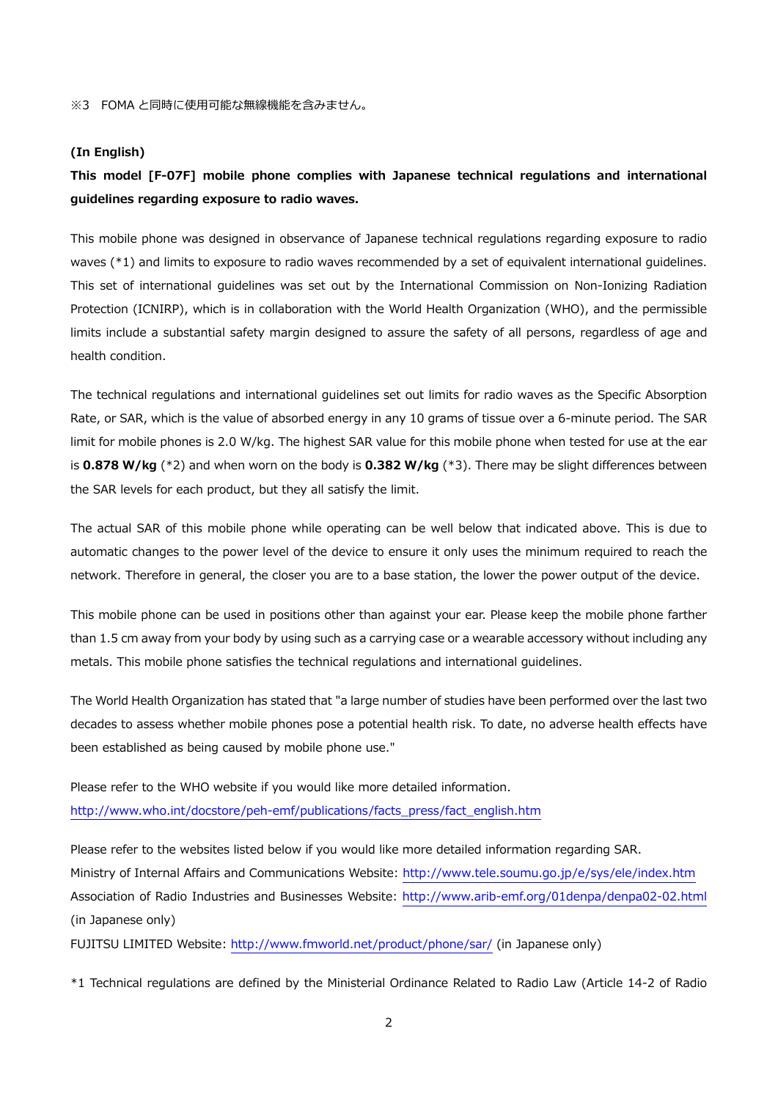#### **(In English)**

# **This model [F-07F] mobile phone complies with Japanese technical regulations and international guidelines regarding exposure to radio waves.**

This mobile phone was designed in observance of Japanese technical regulations regarding exposure to radio waves (\*1) and limits to exposure to radio waves recommended by a set of equivalent international guidelines. This set of international guidelines was set out by the International Commission on Non-Ionizing Radiation Protection (ICNIRP), which is in collaboration with the World Health Organization (WHO), and the permissible limits include a substantial safety margin designed to assure the safety of all persons, regardless of age and health condition.

The technical regulations and international guidelines set out limits for radio waves as the Specific Absorption Rate, or SAR, which is the value of absorbed energy in any 10 grams of tissue over a 6-minute period. The SAR limit for mobile phones is 2.0 W/kg. The highest SAR value for this mobile phone when tested for use at the ear is **0.878 W/kg** (\*2) and when worn on the body is **0.382 W/kg** (\*3). There may be slight differences between the SAR levels for each product, but they all satisfy the limit.

The actual SAR of this mobile phone while operating can be well below that indicated above. This is due to automatic changes to the power level of the device to ensure it only uses the minimum required to reach the network. Therefore in general, the closer you are to a base station, the lower the power output of the device.

This mobile phone can be used in positions other than against your ear. Please keep the mobile phone farther than 1.5 cm away from your body by using such as a carrying case or a wearable accessory without including any metals. This mobile phone satisfies the technical regulations and international guidelines.

The World Health Organization has stated that "a large number of studies have been performed over the last two decades to assess whether mobile phones pose a potential health risk. To date, no adverse health effects have been established as being caused by mobile phone use."

Please refer to the WHO website if you would like more detailed information. http://www.who.int/docstore/peh-emf/publications/facts\_press/fact\_english.htm

Please refer to the websites listed below if you would like more detailed information regarding SAR. Ministry of Internal Affairs and Communications Website: http://www.tele.soumu.go.jp/e/sys/ele/index.htm Association of Radio Industries and Businesses Website: http://www.arib-emf.org/01denpa/denpa02-02.html (in Japanese only)

FUJITSU LIMITED Website: http://www.fmworld.net/product/phone/sar/ (in Japanese only)

\*1 Technical regulations are defined by the Ministerial Ordinance Related to Radio Law (Article 14-2 of Radio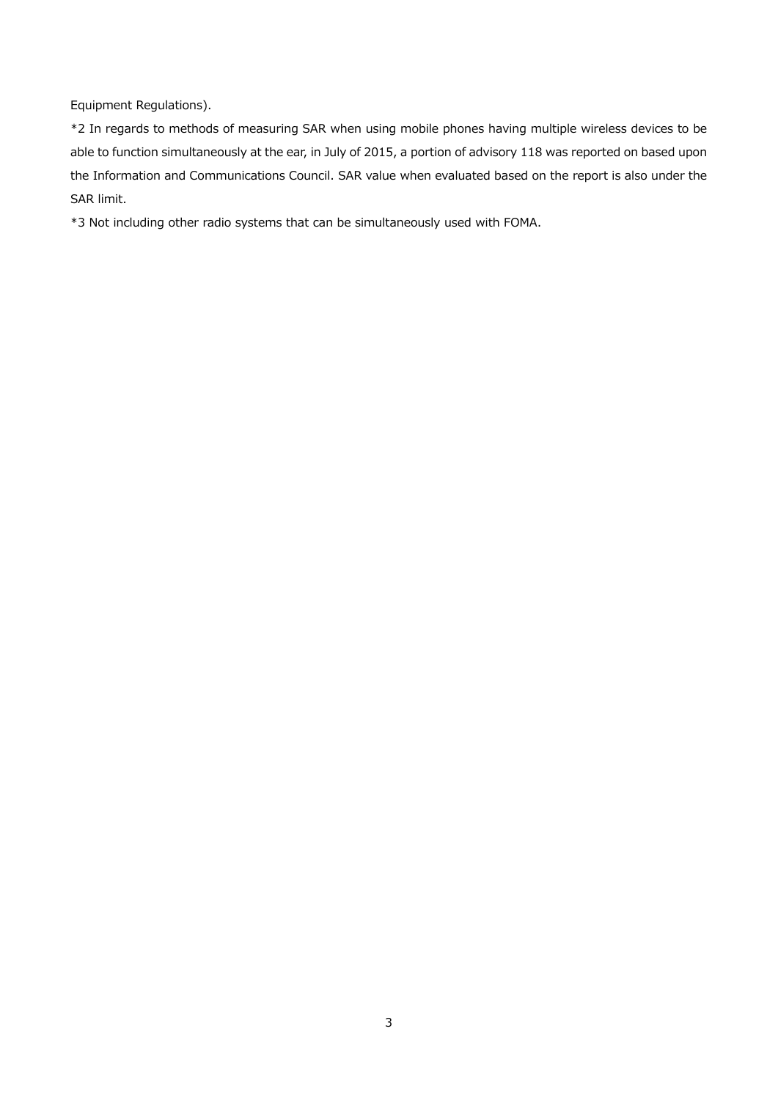Equipment Regulations).

\*2 In regards to methods of measuring SAR when using mobile phones having multiple wireless devices to be able to function simultaneously at the ear, in July of 2015, a portion of advisory 118 was reported on based upon the Information and Communications Council. SAR value when evaluated based on the report is also under the SAR limit.

\*3 Not including other radio systems that can be simultaneously used with FOMA.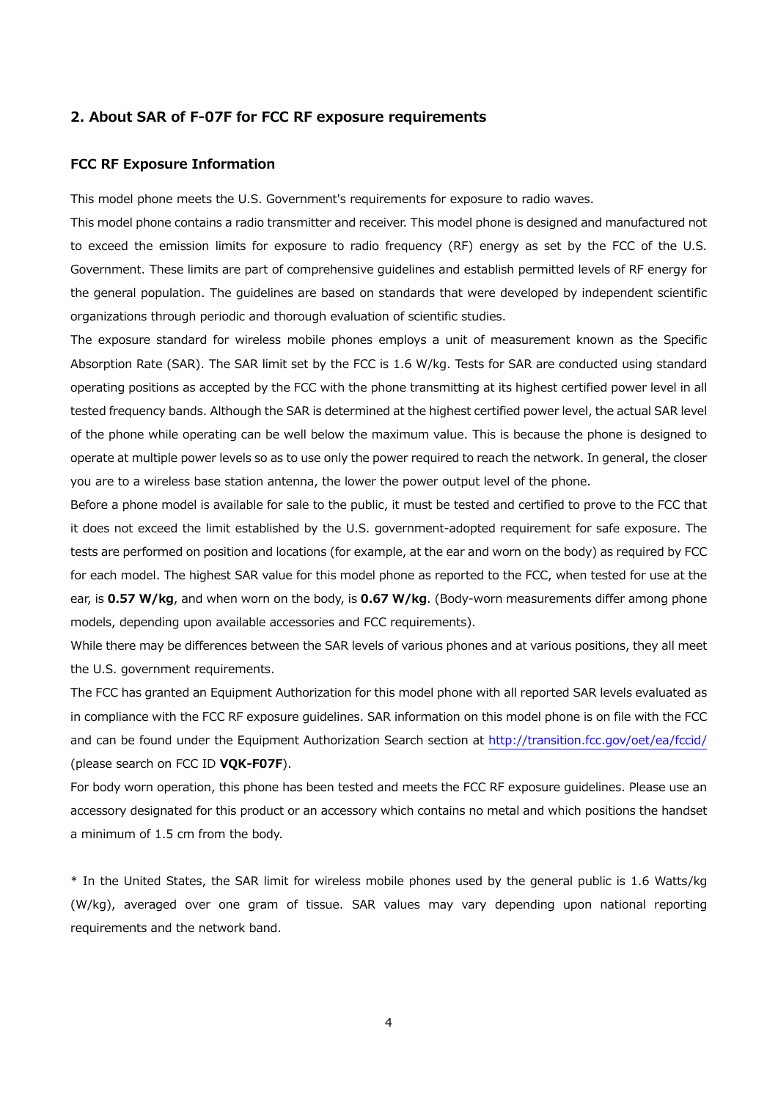#### **2. About SAR of F-07F for FCC RF exposure requirements**

#### **FCC RF Exposure Information**

This model phone meets the U.S. Government's requirements for exposure to radio waves.

This model phone contains a radio transmitter and receiver. This model phone is designed and manufactured not to exceed the emission limits for exposure to radio frequency (RF) energy as set by the FCC of the U.S. Government. These limits are part of comprehensive guidelines and establish permitted levels of RF energy for the general population. The guidelines are based on standards that were developed by independent scientific organizations through periodic and thorough evaluation of scientific studies.

The exposure standard for wireless mobile phones employs a unit of measurement known as the Specific Absorption Rate (SAR). The SAR limit set by the FCC is 1.6 W/kg. Tests for SAR are conducted using standard operating positions as accepted by the FCC with the phone transmitting at its highest certified power level in all tested frequency bands. Although the SAR is determined at the highest certified power level, the actual SAR level of the phone while operating can be well below the maximum value. This is because the phone is designed to operate at multiple power levels so as to use only the power required to reach the network. In general, the closer you are to a wireless base station antenna, the lower the power output level of the phone.

Before a phone model is available for sale to the public, it must be tested and certified to prove to the FCC that it does not exceed the limit established by the U.S. government-adopted requirement for safe exposure. The tests are performed on position and locations (for example, at the ear and worn on the body) as required by FCC for each model. The highest SAR value for this model phone as reported to the FCC, when tested for use at the ear, is **0.57 W/kg**, and when worn on the body, is **0.67 W/kg**. (Body-worn measurements differ among phone models, depending upon available accessories and FCC requirements).

While there may be differences between the SAR levels of various phones and at various positions, they all meet the U.S. government requirements.

The FCC has granted an Equipment Authorization for this model phone with all reported SAR levels evaluated as in compliance with the FCC RF exposure guidelines. SAR information on this model phone is on file with the FCC and can be found under the Equipment Authorization Search section at http://transition.fcc.gov/oet/ea/fccid/ (please search on FCC ID **VQK-F07F**).

For body worn operation, this phone has been tested and meets the FCC RF exposure guidelines. Please use an accessory designated for this product or an accessory which contains no metal and which positions the handset a minimum of 1.5 cm from the body.

\* In the United States, the SAR limit for wireless mobile phones used by the general public is 1.6 Watts/kg (W/kg), averaged over one gram of tissue. SAR values may vary depending upon national reporting requirements and the network band.